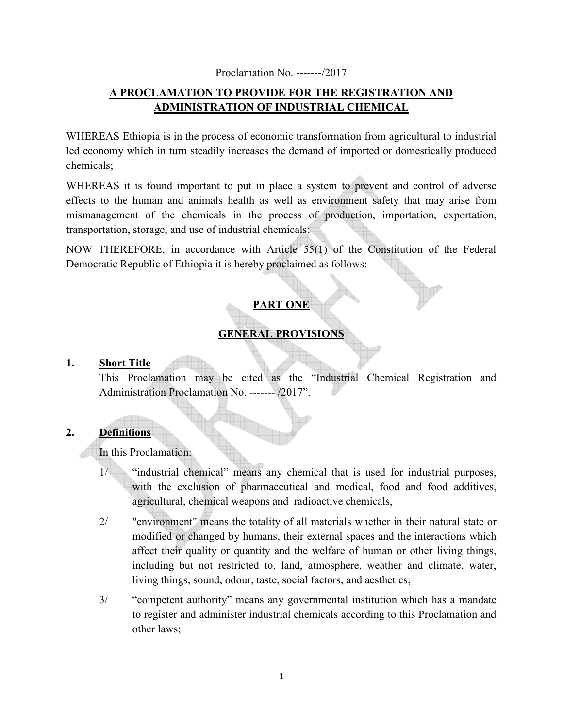#### Proclamation No. -------/2017

## **A PROCLAMATION TO PROVIDE FOR THE REGISTRATION AND ADMINISTRATION OF INDUSTRIAL CHEMICAL**

WHEREAS Ethiopia is in the process of economic transformation from agricultural to industrial led economy which in turn steadily increases the demand of imported or domestically produced chemicals;

WHEREAS it is found important to put in place a system to prevent and control of adverse effects to the human and animals health as well as environment safety that may arise from mismanagement of the chemicals in the process of production, importation, exportation, transportation, storage, and use of industrial chemicals;

NOW THEREFORE, in accordance with Article 55(1) of the Constitution of the Federal Democratic Republic of Ethiopia it is hereby proclaimed as follows:

# **PART ONE**

# **GENERAL PROVISIONS**

#### **1. Short Title**

This Proclamation may be cited as the "Industrial Chemical Registration and Administration Proclamation No. ------- /2017".

## **2. Definitions**

In this Proclamation:

- 1/ "industrial chemical" means any chemical that is used for industrial purposes, with the exclusion of pharmaceutical and medical, food and food additives, agricultural, chemical weapons and radioactive chemicals,
- 2/ "environment" means the totality of all materials whether in their natural state or modified or changed by humans, their external spaces and the interactions which affect their quality or quantity and the welfare of human or other living things, including but not restricted to, land, atmosphere, weather and climate, water, living things, sound, odour, taste, social factors, and aesthetics;
- 3/ "competent authority" means any governmental institution which has a mandate to register and administer industrial chemicals according to this Proclamation and other laws;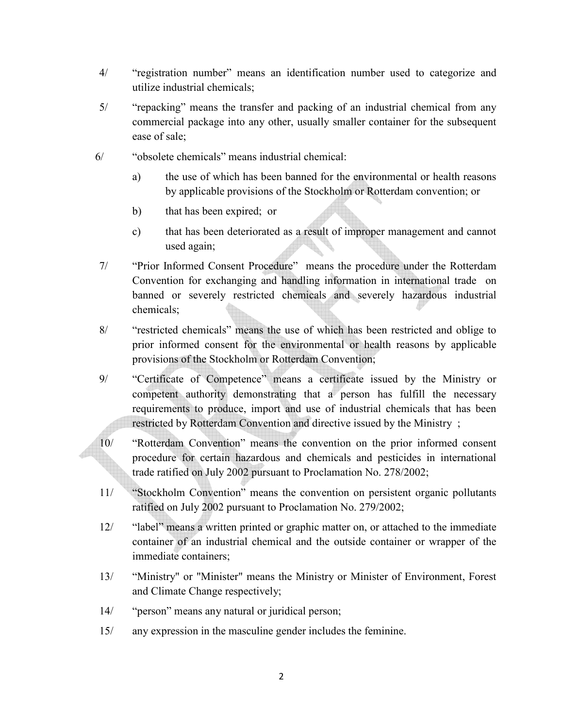- 4/ "registration number" means an identification number used to categorize and utilize industrial chemicals;
- 5/ "repacking" means the transfer and packing of an industrial chemical from any commercial package into any other, usually smaller container for the subsequent ease of sale;
- 6/ "obsolete chemicals" means industrial chemical:
	- a) the use of which has been banned for the environmental or health reasons by applicable provisions of the Stockholm or Rotterdam convention; or
	- b) that has been expired; or
	- c) that has been deteriorated as a result of improper management and cannot used again;
- 7/ "Prior Informed Consent Procedure" means the procedure under the Rotterdam Convention for exchanging and handling information in international trade on banned or severely restricted chemicals and severely hazardous industrial chemicals;
- 8/ "restricted chemicals" means the use of which has been restricted and oblige to prior informed consent for the environmental or health reasons by applicable provisions of the Stockholm or Rotterdam Convention;
- 9/ "Certificate of Competence" means a certificate issued by the Ministry or competent authority demonstrating that a person has fulfill the necessary requirements to produce, import and use of industrial chemicals that has been restricted by Rotterdam Convention and directive issued by the Ministry ;
- 10/ "Rotterdam Convention" means the convention on the prior informed consent procedure for certain hazardous and chemicals and pesticides in international trade ratified on July 2002 pursuant to Proclamation No. 278/2002;
- 11/ "Stockholm Convention" means the convention on persistent organic pollutants ratified on July 2002 pursuant to Proclamation No. 279/2002;
- 12/ "label" means a written printed or graphic matter on, or attached to the immediate container of an industrial chemical and the outside container or wrapper of the immediate containers;
- 13/ "Ministry" or "Minister" means the Ministry or Minister of Environment, Forest and Climate Change respectively;
- 14/ "person" means any natural or juridical person;
- 15/ any expression in the masculine gender includes the feminine.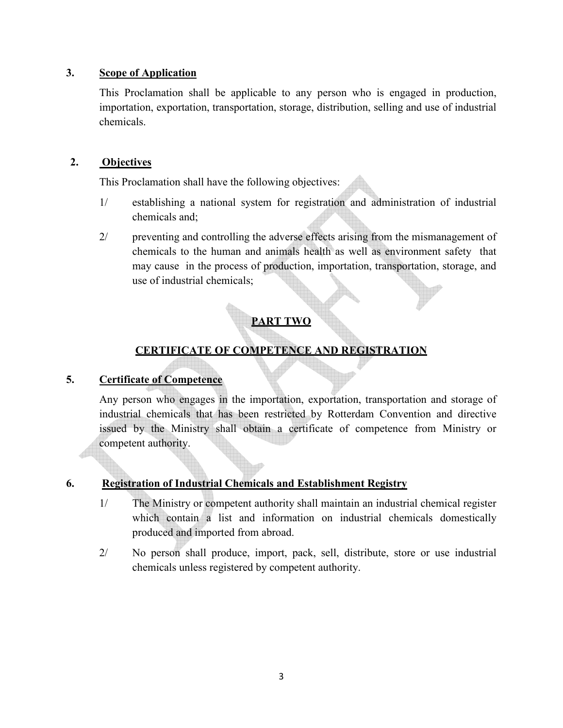## **3. Scope of Application**

This Proclamation shall be applicable to any person who is engaged in production, importation, exportation, transportation, storage, distribution, selling and use of industrial chemicals.

## **2. Objectives**

This Proclamation shall have the following objectives:

- 1/ establishing a national system for registration and administration of industrial chemicals and;
- 2/ preventing and controlling the adverse effects arising from the mismanagement of chemicals to the human and animals health as well as environment safety that may cause in the process of production, importation, transportation, storage, and use of industrial chemicals;

# **PART TWO**

# **CERTIFICATE OF COMPETENCE AND REGISTRATION**

## **5. Certificate of Competence**

Any person who engages in the importation, exportation, transportation and storage of industrial chemicals that has been restricted by Rotterdam Convention and directive issued by the Ministry shall obtain a certificate of competence from Ministry or competent authority.

## **6. Registration of Industrial Chemicals and Establishment Registry**

- 1/ The Ministry or competent authority shall maintain an industrial chemical register which contain a list and information on industrial chemicals domestically produced and imported from abroad.
- 2/ No person shall produce, import, pack, sell, distribute, store or use industrial chemicals unless registered by competent authority.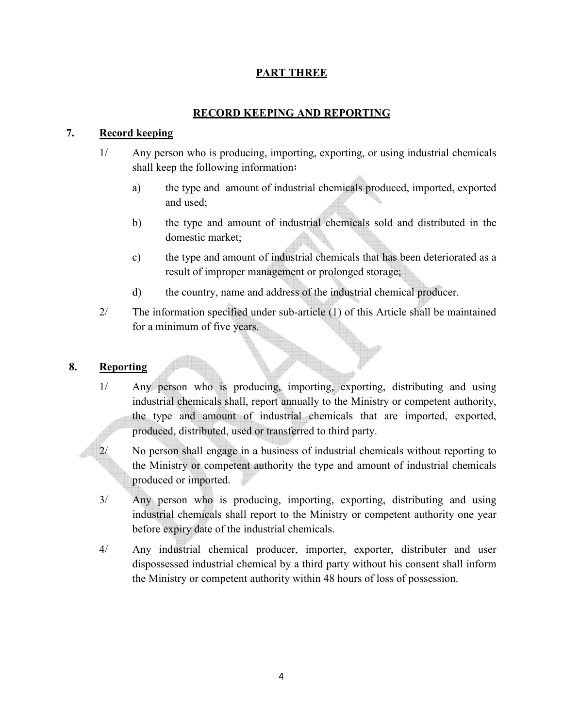## **PART THREE**

## **RECORD KEEPING AND REPORTING**

## **7. Record keeping**

- 1/ Any person who is producing, importing, exporting, or using industrial chemicals shall keep the following information፡
	- a) the type and amount of industrial chemicals produced, imported, exported and used;
	- b) the type and amount of industrial chemicals sold and distributed in the domestic market;
	- c) the type and amount of industrial chemicals that has been deteriorated as a result of improper management or prolonged storage;
	- d) the country, name and address of the industrial chemical producer.
- 2/ The information specified under sub-article (1) of this Article shall be maintained for a minimum of five years.

## **8. Reporting**

- 1/ Any person who is producing, importing, exporting, distributing and using industrial chemicals shall, report annually to the Ministry or competent authority, the type and amount of industrial chemicals that are imported, exported, produced, distributed, used or transferred to third party.
- 2/ No person shall engage in a business of industrial chemicals without reporting to the Ministry or competent authority the type and amount of industrial chemicals produced or imported.
- 3/ Any person who is producing, importing, exporting, distributing and using industrial chemicals shall report to the Ministry or competent authority one year before expiry date of the industrial chemicals.
- 4/ Any industrial chemical producer, importer, exporter, distributer and user dispossessed industrial chemical by a third party without his consent shall inform the Ministry or competent authority within 48 hours of loss of possession.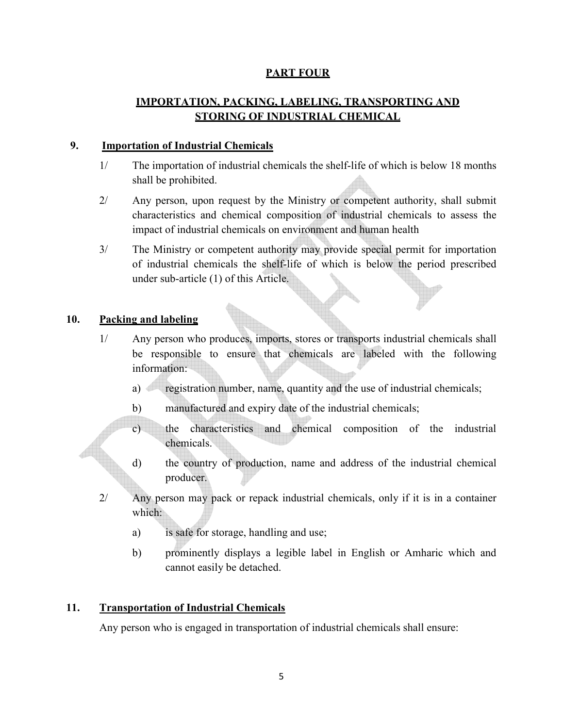## **PART FOUR**

# **IMPORTATION, PACKING, LABELING, TRANSPORTING AND STORING OF INDUSTRIAL CHEMICAL**

#### **9. Importation of Industrial Chemicals**

- 1/ The importation of industrial chemicals the shelf-life of which is below 18 months shall be prohibited.
- 2/ Any person, upon request by the Ministry or competent authority, shall submit characteristics and chemical composition of industrial chemicals to assess the impact of industrial chemicals on environment and human health
- 3/ The Ministry or competent authority may provide special permit for importation of industrial chemicals the shelf-life of which is below the period prescribed under sub-article (1) of this Article.

## **10. Packing and labeling**

- 1/ Any person who produces, imports, stores or transports industrial chemicals shall be responsible to ensure that chemicals are labeled with the following information:
	- a) registration number, name, quantity and the use of industrial chemicals;
	- b) manufactured and expiry date of the industrial chemicals;
	- c) the characteristics and chemical composition of the industrial chemicals.
	- d) the country of production, name and address of the industrial chemical producer.
- 2/ Any person may pack or repack industrial chemicals, only if it is in a container which:
	- a) is safe for storage, handling and use;
	- b) prominently displays a legible label in English or Amharic which and cannot easily be detached.

## **11. Transportation of Industrial Chemicals**

Any person who is engaged in transportation of industrial chemicals shall ensure: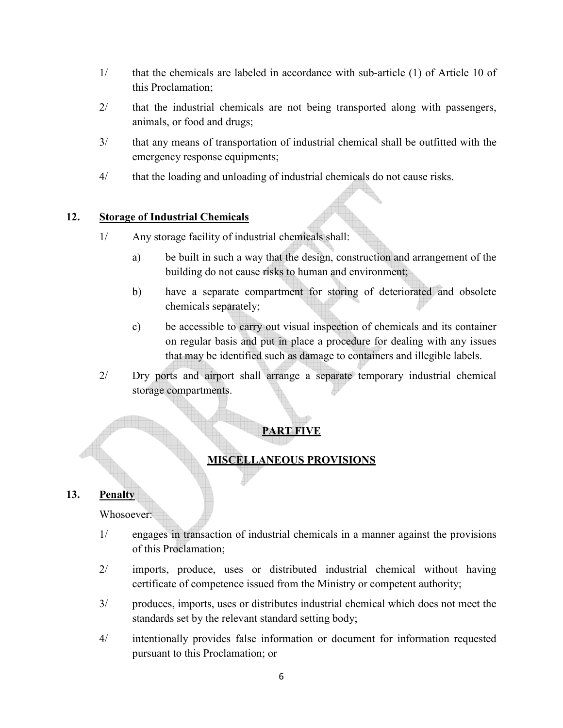- 1/ that the chemicals are labeled in accordance with sub-article (1) of Article 10 of this Proclamation;
- 2/ that the industrial chemicals are not being transported along with passengers, animals, or food and drugs;
- 3/ that any means of transportation of industrial chemical shall be outfitted with the emergency response equipments;
- 4/ that the loading and unloading of industrial chemicals do not cause risks.

## **12. Storage of Industrial Chemicals**

- 1/ Any storage facility of industrial chemicals shall:
	- a) be built in such a way that the design, construction and arrangement of the building do not cause risks to human and environment;
	- b) have a separate compartment for storing of deteriorated and obsolete chemicals separately;
	- c) be accessible to carry out visual inspection of chemicals and its container on regular basis and put in place a procedure for dealing with any issues that may be identified such as damage to containers and illegible labels.
- 2/ Dry ports and airport shall arrange a separate temporary industrial chemical storage compartments.

## **PART FIVE**

## **MISCELLANEOUS PROVISIONS**

## **13. Penalty**

Whosoever:

- 1/ engages in transaction of industrial chemicals in a manner against the provisions of this Proclamation;
- 2/ imports, produce, uses or distributed industrial chemical without having certificate of competence issued from the Ministry or competent authority;
- 3/ produces, imports, uses or distributes industrial chemical which does not meet the standards set by the relevant standard setting body;
- 4/ intentionally provides false information or document for information requested pursuant to this Proclamation; or